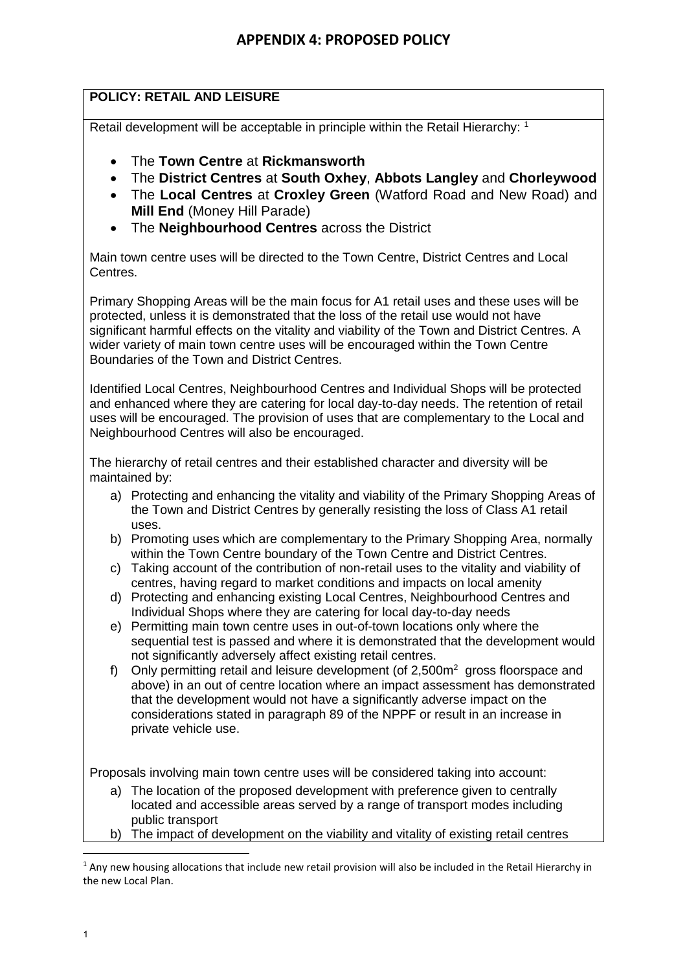## **POLICY: RETAIL AND LEISURE**

Retail development will be acceptable in principle within the Retail Hierarchy: 1

- The **Town Centre** at **Rickmansworth**
- The **District Centres** at **South Oxhey**, **Abbots Langley** and **Chorleywood**
- The **Local Centres** at **Croxley Green** (Watford Road and New Road) and **Mill End** (Money Hill Parade)
- The **Neighbourhood Centres** across the District

Main town centre uses will be directed to the Town Centre, District Centres and Local Centres.

Primary Shopping Areas will be the main focus for A1 retail uses and these uses will be protected, unless it is demonstrated that the loss of the retail use would not have significant harmful effects on the vitality and viability of the Town and District Centres. A wider variety of main town centre uses will be encouraged within the Town Centre Boundaries of the Town and District Centres.

Identified Local Centres, Neighbourhood Centres and Individual Shops will be protected and enhanced where they are catering for local day-to-day needs. The retention of retail uses will be encouraged. The provision of uses that are complementary to the Local and Neighbourhood Centres will also be encouraged.

The hierarchy of retail centres and their established character and diversity will be maintained by:

- a) Protecting and enhancing the vitality and viability of the Primary Shopping Areas of the Town and District Centres by generally resisting the loss of Class A1 retail uses.
- b) Promoting uses which are complementary to the Primary Shopping Area, normally within the Town Centre boundary of the Town Centre and District Centres.
- c) Taking account of the contribution of non-retail uses to the vitality and viability of centres, having regard to market conditions and impacts on local amenity
- d) Protecting and enhancing existing Local Centres, Neighbourhood Centres and Individual Shops where they are catering for local day-to-day needs
- e) Permitting main town centre uses in out-of-town locations only where the sequential test is passed and where it is demonstrated that the development would not significantly adversely affect existing retail centres.
- f) Only permitting retail and leisure development (of  $2,500m^2$  gross floorspace and above) in an out of centre location where an impact assessment has demonstrated that the development would not have a significantly adverse impact on the considerations stated in paragraph 89 of the NPPF or result in an increase in private vehicle use.

Proposals involving main town centre uses will be considered taking into account:

- a) The location of the proposed development with preference given to centrally located and accessible areas served by a range of transport modes including public transport
- b) The impact of development on the viability and vitality of existing retail centres

**.** 

 $<sup>1</sup>$  Any new housing allocations that include new retail provision will also be included in the Retail Hierarchy in</sup> the new Local Plan.